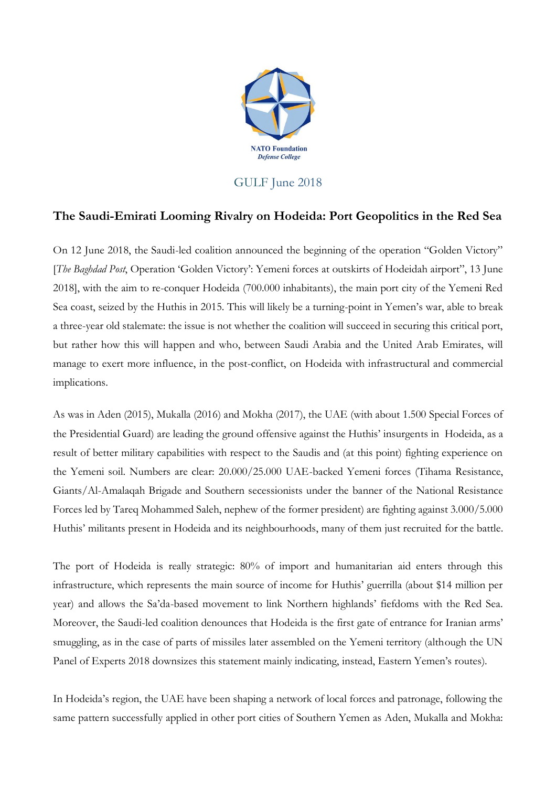

## GULF June 2018

## **The Saudi-Emirati Looming Rivalry on Hodeida: Port Geopolitics in the Red Sea**

On 12 June 2018, the Saudi-led coalition announced the beginning of the operation "Golden Victory" [*The Baghdad Post*, Operation 'Golden Victory': Yemeni forces at outskirts of Hodeidah airport", 13 June 2018], with the aim to re-conquer Hodeida (700.000 inhabitants), the main port city of the Yemeni Red Sea coast, seized by the Huthis in 2015. This will likely be a turning-point in Yemen's war, able to break a three-year old stalemate: the issue is not whether the coalition will succeed in securing this critical port, but rather how this will happen and who, between Saudi Arabia and the United Arab Emirates, will manage to exert more influence, in the post-conflict, on Hodeida with infrastructural and commercial implications.

As was in Aden (2015), Mukalla (2016) and Mokha (2017), the UAE (with about 1.500 Special Forces of the Presidential Guard) are leading the ground offensive against the Huthis' insurgents in Hodeida, as a result of better military capabilities with respect to the Saudis and (at this point) fighting experience on the Yemeni soil. Numbers are clear: 20.000/25.000 UAE-backed Yemeni forces (Tihama Resistance, Giants/Al-Amalaqah Brigade and Southern secessionists under the banner of the National Resistance Forces led by Tareq Mohammed Saleh, nephew of the former president) are fighting against 3.000/5.000 Huthis' militants present in Hodeida and its neighbourhoods, many of them just recruited for the battle.

The port of Hodeida is really strategic: 80% of import and humanitarian aid enters through this infrastructure, which represents the main source of income for Huthis' guerrilla (about \$14 million per year) and allows the Sa'da-based movement to link Northern highlands' fiefdoms with the Red Sea. Moreover, the Saudi-led coalition denounces that Hodeida is the first gate of entrance for Iranian arms' smuggling, as in the case of parts of missiles later assembled on the Yemeni territory (although the UN Panel of Experts 2018 downsizes this statement mainly indicating, instead, Eastern Yemen's routes).

In Hodeida's region, the UAE have been shaping a network of local forces and patronage, following the same pattern successfully applied in other port cities of Southern Yemen as Aden, Mukalla and Mokha: